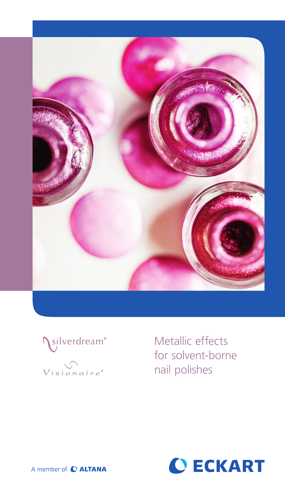



Metallic effects for solvent-borne nail polishes



A member of C ALTANA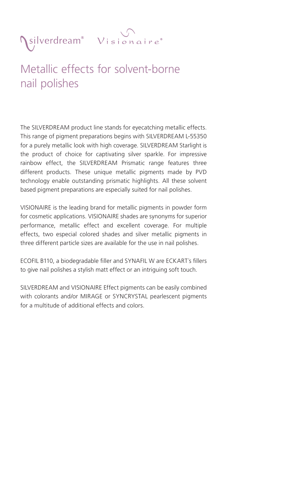



## Metallic effects for solvent-borne nail polishes

The SILVERDREAM product line stands for eyecatching metallic effects. This range of pigment preparations begins with SILVERDREAM L-55350 for a purely metallic look with high coverage. SILVERDREAM Starlight is the product of choice for captivating silver sparkle. For impressive rainbow effect, the SILVERDREAM Prismatic range features three different products. These unique metallic pigments made by PVD technology enable outstanding prismatic highlights. All these solvent based pigment preparations are especially suited for nail polishes.

VISIONAIRE is the leading brand for metallic pigments in powder form for cosmetic applications. VISIONAIRE shades are synonyms for superior performance, metallic effect and excellent coverage. For multiple effects, two especial colored shades and silver metallic pigments in three different particle sizes are available for the use in nail polishes.

ECOFIL B110, a biodegradable filler and SYNAFIL W are ECKART´s fillers to give nail polishes a stylish matt effect or an intriguing soft touch.

SILVERDREAM and VISIONAIRE Effect pigments can be easily combined with colorants and/or MIRAGE or SYNCRYSTAL pearlescent pigments for a multitude of additional effects and colors.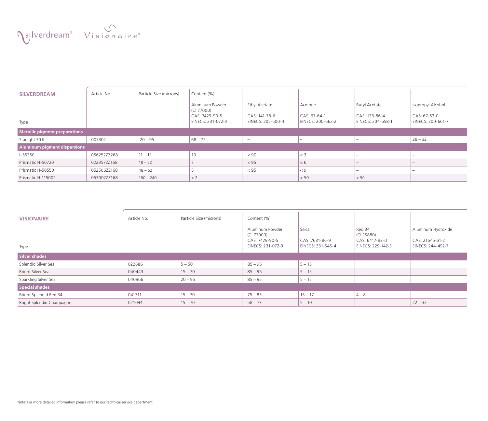Visionaire<sup>®</sup>

| <b>SILVERDREAM</b>                   | Article No. | Particle Size (microns) | Content (%)                                                          |                                                     |                                              |                                                            |                                                        |  |  |  |
|--------------------------------------|-------------|-------------------------|----------------------------------------------------------------------|-----------------------------------------------------|----------------------------------------------|------------------------------------------------------------|--------------------------------------------------------|--|--|--|
| Type                                 |             |                         | Aluminum Powder<br>(CI 77000)<br>CAS: 7429-90-5<br>EINECS: 231-072-3 | Ethyl Acetate<br>CAS: 141-78-6<br>EINECS: 205-500-4 | Acetone<br>CAS: 67-64-1<br>EINECS: 200-662-2 | <b>Butyl Acetate</b><br>CAS: 123-86-4<br>EINECS: 204-658-1 | Isopropyl Alcohol<br>CAS: 67-63-0<br>EINECS: 200-661-7 |  |  |  |
|                                      |             |                         |                                                                      |                                                     |                                              |                                                            |                                                        |  |  |  |
| <b>Metallic pigment preparations</b> |             |                         |                                                                      |                                                     |                                              |                                                            |                                                        |  |  |  |
| Starlight 70 IL                      | 007302      | $20 - 95$               | $68 - 72$                                                            | $\hspace{0.1mm}-\hspace{0.1mm}$                     |                                              |                                                            | $28 - 32$                                              |  |  |  |
| Aluminum pigment dispersions         |             |                         |                                                                      |                                                     |                                              |                                                            |                                                        |  |  |  |
| L-55350                              | 056252ZZ268 | $11 - 12$               | 10                                                                   | < 90                                                | $<$ 3                                        | -                                                          |                                                        |  |  |  |
| Prismatic H-50720                    | 022357ZZ168 | $18 - 22$               |                                                                      | < 95                                                | < 6                                          |                                                            |                                                        |  |  |  |
| Prismatic H-50550                    | 052506ZZ168 | $48 - 52$               |                                                                      | < 95                                                | < 9                                          | $\sim$                                                     | -                                                      |  |  |  |
| Prismatic H-115002                   | 053002ZZ168 | $180 - 240$             | $\leq$ 2                                                             | $\qquad \qquad -$                                   | < 50                                         | < 90                                                       |                                                        |  |  |  |

| <b>VISIONAIRE</b>         | Article No. | Particle Size (microns) | Content (%)                                                          |                                               |                                                             |                                                            |  |  |  |  |
|---------------------------|-------------|-------------------------|----------------------------------------------------------------------|-----------------------------------------------|-------------------------------------------------------------|------------------------------------------------------------|--|--|--|--|
| Type                      |             |                         | Aluminum Powder<br>(CI 77000)<br>CAS: 7429-90-5<br>EINECS: 231-072-3 | Silica<br>CAS: 7631-86-9<br>EINECS: 231-545-4 | Red 34<br>(CI 15880)<br>CAS: 6417-83-0<br>EINECS: 229-142-3 | Aluminum Hydroxide<br>CAS: 21645-51-2<br>EINECS: 244-492-7 |  |  |  |  |
| Silver shades             |             |                         |                                                                      |                                               |                                                             |                                                            |  |  |  |  |
| Splendid Silver Sea       | 022686      | $5 - 50$                | $85 - 95$                                                            | $5 - 15$                                      |                                                             |                                                            |  |  |  |  |
| Bright Silver Sea         | 040443      | $15 - 70$               | $85 - 95$                                                            | $5 - 15$                                      |                                                             |                                                            |  |  |  |  |
| Sparkling Silver Sea      | 040966      | $20 - 95$               | $85 - 95$                                                            | $5 - 15$                                      |                                                             |                                                            |  |  |  |  |
| Special shades            |             |                         |                                                                      |                                               |                                                             |                                                            |  |  |  |  |
| Bright Splendid Red 34    | 041711      | $15 - 70$               | $75 - 83$                                                            | $13 - 17$                                     | $4 - 8$                                                     | $\sim$                                                     |  |  |  |  |
| Bright Splendid Champagne | 021094      | $15 - 70$               | $58 - 73$                                                            | $5 - 10$                                      |                                                             | $22 - 32$                                                  |  |  |  |  |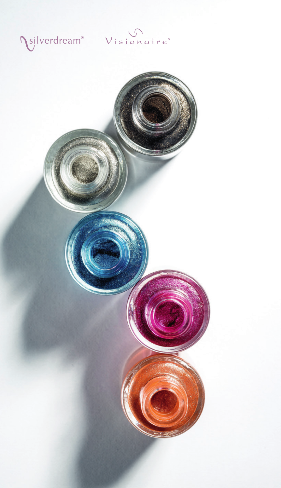